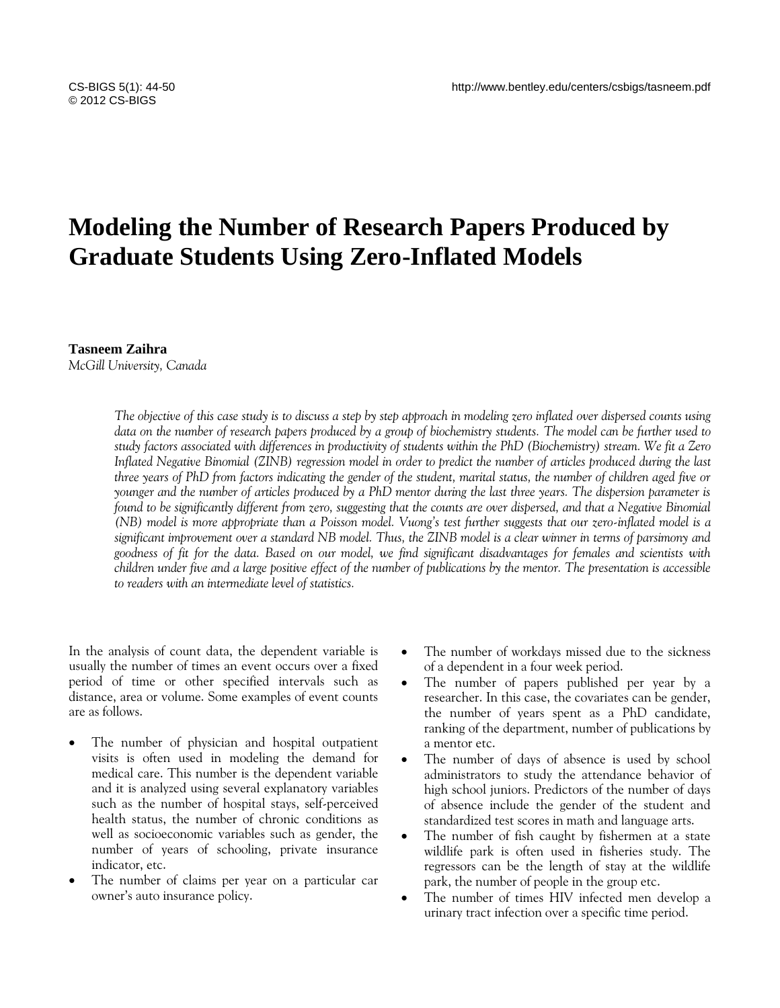# **Modeling the Number of Research Papers Produced by Graduate Students Using Zero-Inflated Models**

# **Tasneem Zaihra**

*McGill University, Canada*

*The objective of this case study is to discuss a step by step approach in modeling zero inflated over dispersed counts using data on the number of research papers produced by a group of biochemistry students. The model can be further used to study factors associated with differences in productivity of students within the PhD (Biochemistry) stream. We fit a Zero Inflated Negative Binomial (ZINB) regression model in order to predict the number of articles produced during the last three years of PhD from factors indicating the gender of the student, marital status, the number of children aged five or younger and the number of articles produced by a PhD mentor during the last three years. The dispersion parameter is found to be significantly different from zero, suggesting that the counts are over dispersed, and that a Negative Binomial (NB) model is more appropriate than a Poisson model. Vuong's test further suggests that our zero-inflated model is a significant improvement over a standard NB model. Thus, the ZINB model is a clear winner in terms of parsimony and goodness of fit for the data. Based on our model, we find significant disadvantages for females and scientists with children under five and a large positive effect of the number of publications by the mentor. The presentation is accessible to readers with an intermediate level of statistics.*

In the analysis of count data, the dependent variable is usually the number of times an event occurs over a fixed period of time or other specified intervals such as distance, area or volume. Some examples of event counts are as follows.

- The number of physician and hospital outpatient visits is often used in modeling the demand for medical care. This number is the dependent variable and it is analyzed using several explanatory variables such as the number of hospital stays, self-perceived health status, the number of chronic conditions as well as socioeconomic variables such as gender, the number of years of schooling, private insurance indicator, etc.
- The number of claims per year on a particular car owner"s auto insurance policy.
- The number of workdays missed due to the sickness of a dependent in a four week period.
- The number of papers published per year by a researcher. In this case, the covariates can be gender, the number of years spent as a PhD candidate, ranking of the department, number of publications by a mentor etc.
- The number of days of absence is used by school administrators to study the attendance behavior of high school juniors. Predictors of the number of days of absence include the gender of the student and standardized test scores in math and language arts.
- The number of fish caught by fishermen at a state wildlife park is often used in fisheries study. The regressors can be the length of stay at the wildlife park, the number of people in the group etc.
- The number of times HIV infected men develop a urinary tract infection over a specific time period.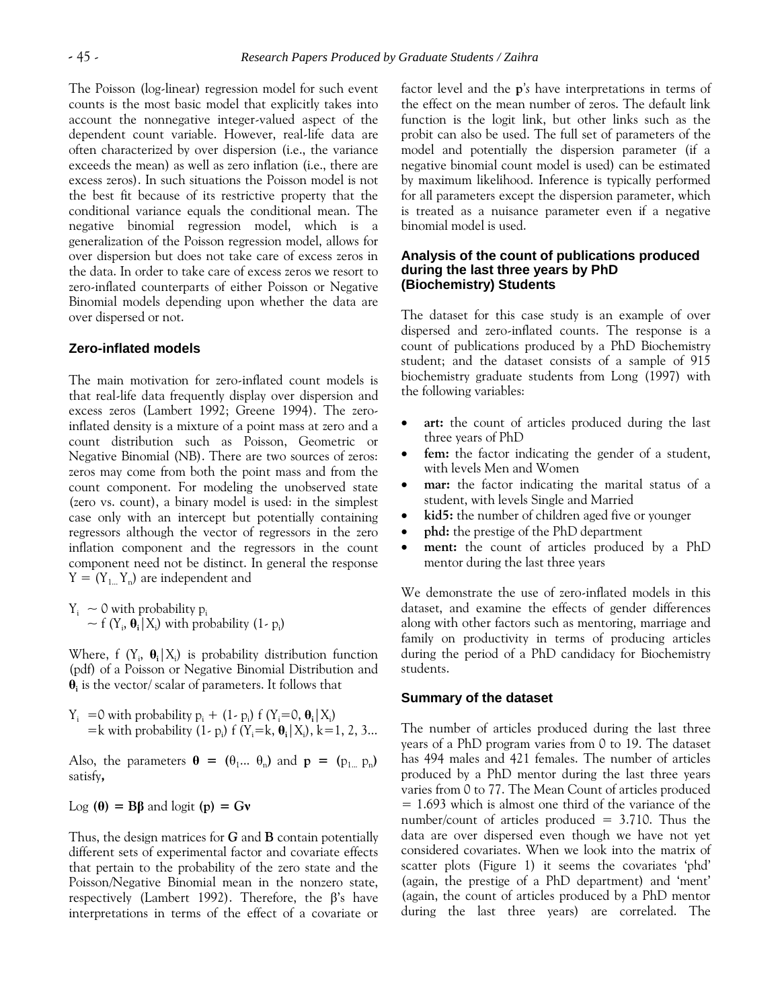The Poisson (log-linear) regression model for such event counts is the most basic model that explicitly takes into account the nonnegative integer-valued aspect of the dependent count variable. However, real-life data are often characterized by over dispersion (i.e., the variance exceeds the mean) as well as zero inflation (i.e., there are excess zeros). In such situations the Poisson model is not the best fit because of its restrictive property that the conditional variance equals the conditional mean. The negative binomial regression model, which is a generalization of the Poisson regression model, allows for over dispersion but does not take care of excess zeros in the data. In order to take care of excess zeros we resort to zero-inflated counterparts of either Poisson or Negative Binomial models depending upon whether the data are over dispersed or not.

## **Zero-inflated models**

The main motivation for zero-inflated count models is that real-life data frequently display over dispersion and excess zeros (Lambert 1992; Greene 1994). The zeroinflated density is a mixture of a point mass at zero and a count distribution such as Poisson, Geometric or Negative Binomial (NB). There are two sources of zeros: zeros may come from both the point mass and from the count component. For modeling the unobserved state (zero vs. count), a binary model is used: in the simplest case only with an intercept but potentially containing regressors although the vector of regressors in the zero inflation component and the regressors in the count component need not be distinct. In general the response  $Y = (Y_{1...} Y_n)$  are independent and

 $Y_i \sim 0$  with probability  $p_i$  $\sim$  f (Y<sub>i</sub>,  $\theta_i | X_i$ ) with probability (1- p<sub>i</sub>)

Where, f  $(Y_i, \theta_i | X_i)$  is probability distribution function (pdf) of a Poisson or Negative Binomial Distribution and **θi** is the vector/ scalar of parameters. It follows that

 $Y_i$  = 0 with probability  $p_i + (1-p_i) f(Y_i=0, \theta_i | X_i)$  $=$ k with probability  $(1-p_i)$  f  $(Y_i = k, \theta_i | X_i)$ , k=1, 2, 3...

Also, the parameters  $\theta = (\theta_1 ... \theta_n)$  and  $p = (p_{1...} p_n)$ satisfy**,**

Log **(θ) = Bβ** and logit **(p) = Gν**

Thus, the design matrices for *G* and **B** contain potentially different sets of experimental factor and covariate effects that pertain to the probability of the zero state and the Poisson/Negative Binomial mean in the nonzero state, respectively (Lambert 1992). Therefore, the β"s have interpretations in terms of the effect of a covariate or factor level and the **p***'s* have interpretations in terms of the effect on the mean number of zeros. The default link function is the logit link, but other links such as the probit can also be used. The full set of parameters of the model and potentially the dispersion parameter (if a negative binomial count model is used) can be estimated by maximum likelihood. Inference is typically performed for all parameters except the dispersion parameter, which is treated as a nuisance parameter even if a negative binomial model is used.

## **Analysis of the count of publications produced during the last three years by PhD (Biochemistry) Students**

The dataset for this case study is an example of over dispersed and zero-inflated counts. The response is a count of publications produced by a PhD Biochemistry student; and the dataset consists of a sample of 915 biochemistry graduate students from Long (1997) with the following variables:

- **art:** the count of articles produced during the last three years of PhD
- **fem:** the factor indicating the gender of a student, with levels Men and Women
- **mar:** the factor indicating the marital status of a student, with levels Single and Married
- kid5: the number of children aged five or younger
- **phd:** the prestige of the PhD department
- **ment:** the count of articles produced by a PhD mentor during the last three years

We demonstrate the use of zero-inflated models in this dataset, and examine the effects of gender differences along with other factors such as mentoring, marriage and family on productivity in terms of producing articles during the period of a PhD candidacy for Biochemistry students.

#### **Summary of the dataset**

The number of articles produced during the last three years of a PhD program varies from 0 to 19. The dataset has 494 males and 421 females. The number of articles produced by a PhD mentor during the last three years varies from 0 to 77. The Mean Count of articles produced = 1.693 which is almost one third of the variance of the number/count of articles produced  $= 3.710$ . Thus the data are over dispersed even though we have not yet considered covariates. When we look into the matrix of scatter plots (Figure 1) it seems the covariates 'phd' (again, the prestige of a PhD department) and "ment" (again, the count of articles produced by a PhD mentor during the last three years) are correlated. The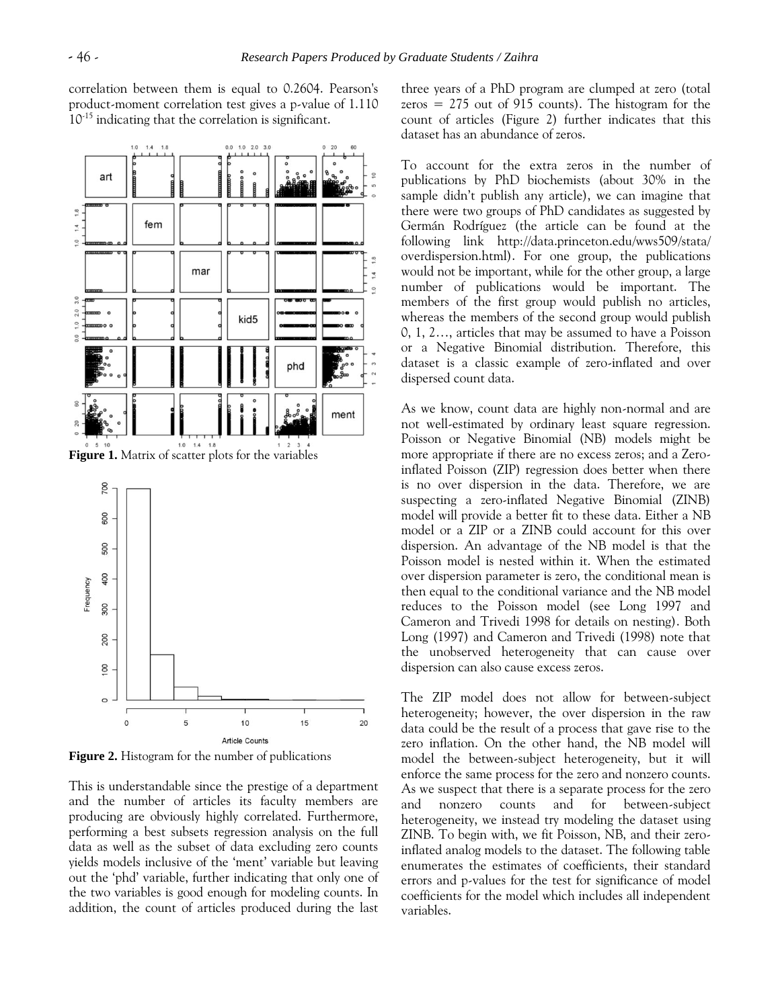correlation between them is equal to 0.2604. Pearson's product-moment correlation test gives a p-value of 1.110 10-15 indicating that the correlation is significant.



**Figure 2.** Histogram for the number of publications

This is understandable since the prestige of a department and the number of articles its faculty members are producing are obviously highly correlated. Furthermore, performing a best subsets regression analysis on the full data as well as the subset of data excluding zero counts yields models inclusive of the "ment" variable but leaving out the "phd" variable, further indicating that only one of the two variables is good enough for modeling counts. In addition, the count of articles produced during the last three years of a PhD program are clumped at zero (total zeros  $= 275$  out of 915 counts). The histogram for the count of articles (Figure 2) further indicates that this dataset has an abundance of zeros.

To account for the extra zeros in the number of publications by PhD biochemists (about 30% in the sample didn't publish any article), we can imagine that there were two groups of PhD candidates as suggested by Germán Rodríguez (the article can be found at the following link http://data.princeton.edu/wws509/stata/ overdispersion.html). For one group, the publications would not be important, while for the other group, a large number of publications would be important. The members of the first group would publish no articles, whereas the members of the second group would publish 0, 1, 2…, articles that may be assumed to have a Poisson or a Negative Binomial distribution. Therefore, this dataset is a classic example of zero-inflated and over dispersed count data.

As we know, count data are highly non-normal and are not well-estimated by ordinary least square regression. Poisson or Negative Binomial (NB) models might be more appropriate if there are no excess zeros; and a Zeroinflated Poisson (ZIP) regression does better when there is no over dispersion in the data. Therefore, we are suspecting a zero-inflated Negative Binomial (ZINB) model will provide a better fit to these data. Either a NB model or a ZIP or a ZINB could account for this over dispersion. An advantage of the NB model is that the Poisson model is nested within it. When the estimated over dispersion parameter is zero, the conditional mean is then equal to the conditional variance and the NB model reduces to the Poisson model (see Long 1997 and Cameron and Trivedi 1998 for details on nesting). Both Long (1997) and Cameron and Trivedi (1998) note that the unobserved heterogeneity that can cause over dispersion can also cause excess zeros.

The ZIP model does not allow for between-subject heterogeneity; however, the over dispersion in the raw data could be the result of a process that gave rise to the zero inflation. On the other hand, the NB model will model the between-subject heterogeneity, but it will enforce the same process for the zero and nonzero counts. As we suspect that there is a separate process for the zero and nonzero counts and for between-subject heterogeneity, we instead try modeling the dataset using ZINB. To begin with, we fit Poisson, NB, and their zeroinflated analog models to the dataset. The following table enumerates the estimates of coefficients, their standard errors and p-values for the test for significance of model coefficients for the model which includes all independent variables.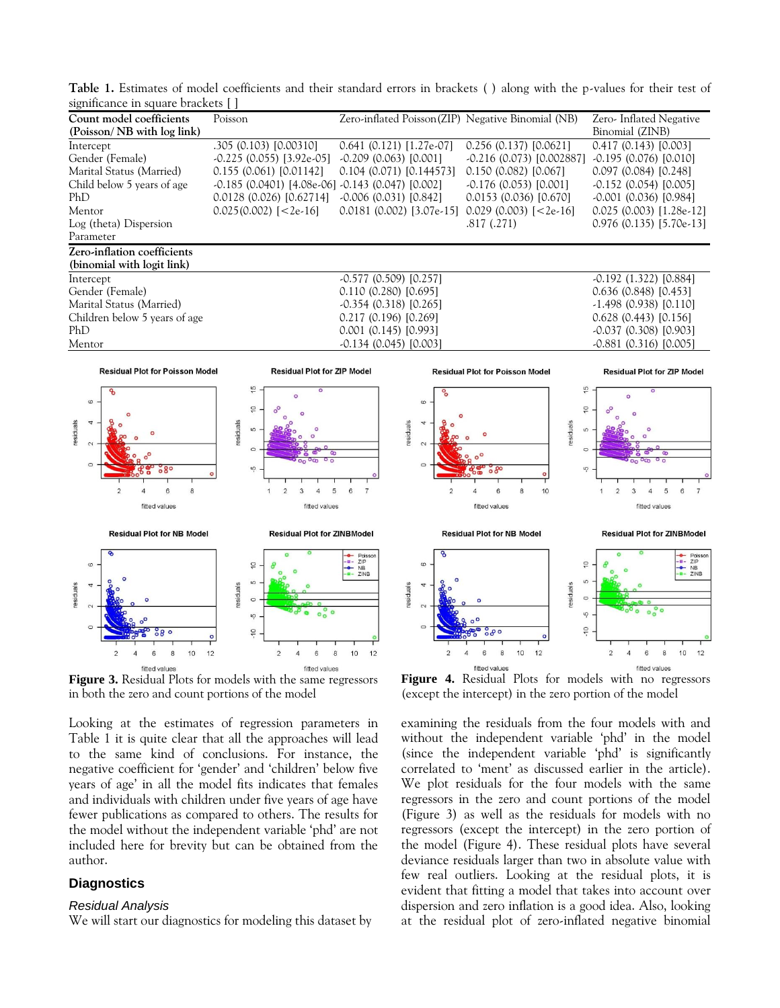**Table 1.** Estimates of model coefficients and their standard errors in brackets ( ) along with the p-values for their test of significance in square brackets [ ]

| Count model coefficients      | Poisson                                                   | Zero-inflated Poisson(ZIP) Negative Binomial (NB) |                             | Zero-Inflated Negative     |
|-------------------------------|-----------------------------------------------------------|---------------------------------------------------|-----------------------------|----------------------------|
| (Poisson/NB with log link)    |                                                           |                                                   |                             | Binomial (ZINB)            |
| Intercept                     | .305 (0.103) [0.00310]                                    | $0.641$ (0.121) [1.27e-07]                        | $0.256$ (0.137) [0.0621]    | 0.417(0.143)[0.003]        |
| Gender (Female)               | $-0.225$ (0.055) [3.92e $-05$ ]                           | $-0.209(0.063)[0.001]$                            | $-0.216$ (0.073) [0.002887] | $-0.195(0.076)[0.010]$     |
| Marital Status (Married)      | 0.155(0.061)[0.01142]                                     | $0.104$ (0.071) [0.144573]                        | 0.150(0.082)[0.067]         | 0.097(0.084)[0.248]        |
| Child below 5 years of age    | $-0.185$ (0.0401) [4.08e $-06$ ] $-0.143$ (0.047) [0.002] |                                                   | $-0.176(0.053)[0.001]$      | $-0.152$ (0.054) [0.005]   |
| PhD                           | 0.0128(0.026)[0.62714]                                    | $-0.006$ (0.031) [0.842]                          | $0.0153$ (0.036) [0.670]    | $-0.001$ (0.036) [0.984]   |
| Mentor                        | $0.025(0.002)$ [<2e-16]                                   | $0.0181$ (0.002) [3.07e-15]                       | $0.029$ (0.003) [<2e-16]    | $0.025$ (0.003) [1.28e-12] |
| Log (theta) Dispersion        |                                                           |                                                   | .817(.271)                  | $0.976$ (0.135) [5.70e-13] |
| Parameter                     |                                                           |                                                   |                             |                            |
| Zero-inflation coefficients   |                                                           |                                                   |                             |                            |
| (binomial with logit link)    |                                                           |                                                   |                             |                            |
| Intercept                     |                                                           | $-0.577(0.509)[0.257]$                            |                             | $-0.192$ (1.322) [0.884]   |
| Gender (Female)               | 0.110(0.280)[0.695]                                       |                                                   | 0.636(0.848)[0.453]         |                            |
| Marital Status (Married)      |                                                           | $-0.354(0.318)[0.265]$                            |                             | $-1.498$ (0.938) [0.110]   |
| Children below 5 years of age |                                                           | 0.217(0.196)[0.269]                               |                             | 0.628(0.443)[0.156]        |
| PhD                           |                                                           | $0.001$ $(0.145)$ $[0.993]$                       |                             | $-0.037(0.308)[0.903]$     |
| Mentor                        |                                                           | $-0.134(0.045)[0.003]$                            |                             | $-0.881(0.316)[0.005]$     |
|                               |                                                           |                                                   |                             |                            |



**Figure 3.** Residual Plots for models with the same regressors in both the zero and count portions of the model

Looking at the estimates of regression parameters in Table 1 it is quite clear that all the approaches will lead to the same kind of conclusions. For instance, the negative coefficient for "gender" and "children" below five years of age' in all the model fits indicates that females and individuals with children under five years of age have fewer publications as compared to others. The results for the model without the independent variable "phd" are not included here for brevity but can be obtained from the author.

# **Diagnostics**

#### *Residual Analysis*

We will start our diagnostics for modeling this dataset by



**Figure 4.** Residual Plots for models with no regressors (except the intercept) in the zero portion of the model

examining the residuals from the four models with and without the independent variable "phd" in the model (since the independent variable "phd" is significantly correlated to "ment" as discussed earlier in the article). We plot residuals for the four models with the same regressors in the zero and count portions of the model (Figure 3) as well as the residuals for models with no regressors (except the intercept) in the zero portion of the model (Figure 4). These residual plots have several deviance residuals larger than two in absolute value with few real outliers. Looking at the residual plots, it is evident that fitting a model that takes into account over dispersion and zero inflation is a good idea. Also, looking at the residual plot of zero-inflated negative binomial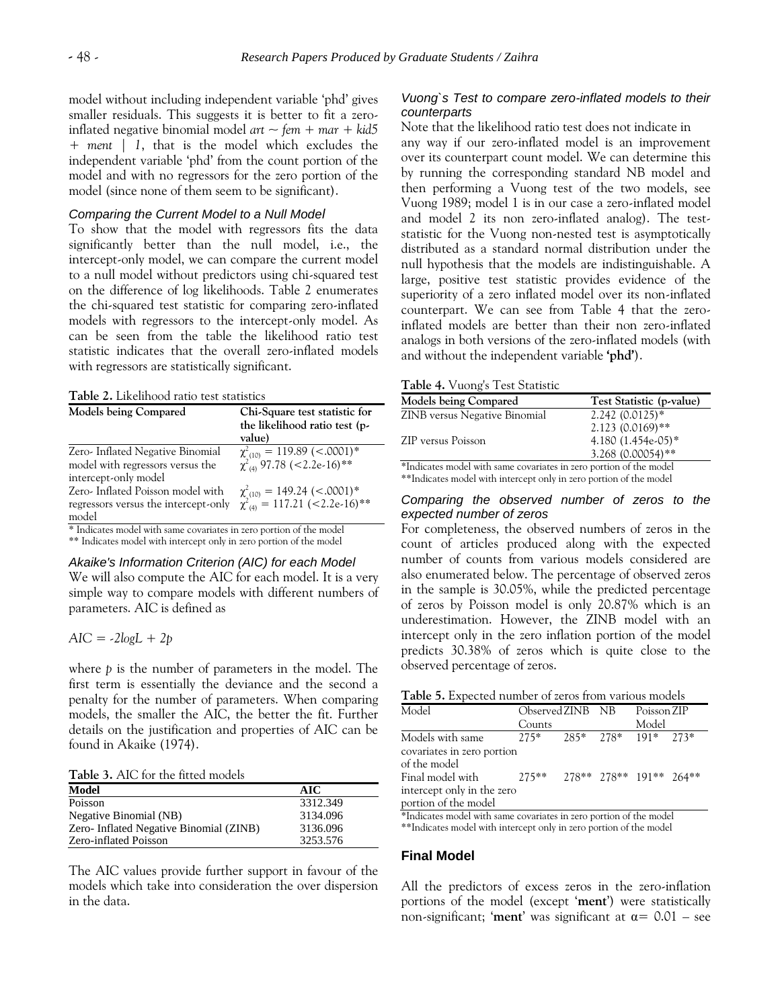model without including independent variable "phd" gives smaller residuals. This suggests it is better to fit a zeroinflated negative binomial model *art ~ fem + mar + kid5 + ment | 1*, that is the model which excludes the independent variable "phd" from the count portion of the model and with no regressors for the zero portion of the model (since none of them seem to be significant).

#### *Comparing the Current Model to a Null Model*

To show that the model with regressors fits the data significantly better than the null model, i.e., the intercept-only model, we can compare the current model to a null model without predictors using chi-squared test on the difference of log likelihoods. Table 2 enumerates the chi-squared test statistic for comparing zero-inflated models with regressors to the intercept-only model. As can be seen from the table the likelihood ratio test statistic indicates that the overall zero-inflated models with regressors are statistically significant.

**Table 2.** Likelihood ratio test statistics

| Models being Compared                                                                        | Chi-Square test statistic for<br>the likelihood ratio test (p-<br>value)   |
|----------------------------------------------------------------------------------------------|----------------------------------------------------------------------------|
| Zero- Inflated Negative Binomial<br>model with regressors versus the<br>intercept-only model | $\chi^2_{(10)} = 119.89$ (<.0001)*<br>$\chi^2_{(4)}$ 97.78 (<2.2e-16)**    |
| Zero- Inflated Poisson model with<br>regressors versus the intercept-only<br>model           | $\chi^2_{(10)} = 149.24$ (<.0001)*<br>$\chi^2_{(4)} = 117.21$ (<2.2e-16)** |

\* Indicates model with same covariates in zero portion of the model \*\* Indicates model with intercept only in zero portion of the model

#### *Akaike's Information Criterion (AIC) for each Model*

We will also compute the AIC for each model. It is a very simple way to compare models with different numbers of parameters. AIC is defined as

$$
AIC = -2logL + 2p
$$

where *p* is the number of parameters in the model. The first term is essentially the deviance and the second a penalty for the number of parameters. When comparing models, the smaller the AIC, the better the fit. Further details on the justification and properties of AIC can be found in Akaike (1974).

**Table 3.** AIC for the fitted models

| Model                                   | AIC      |
|-----------------------------------------|----------|
| Poisson                                 | 3312.349 |
| Negative Binomial (NB)                  | 3134.096 |
| Zero- Inflated Negative Binomial (ZINB) | 3136.096 |
| Zero-inflated Poisson                   | 3253.576 |

The AIC values provide further support in favour of the models which take into consideration the over dispersion in the data.

# *Vuong`s Test to compare zero-inflated models to their counterparts*

Note that the likelihood ratio test does not indicate in any way if our zero-inflated model is an improvement over its counterpart count model. We can determine this by running the corresponding standard NB model and then performing a Vuong test of the two models, see Vuong 1989; model 1 is in our case a zero-inflated model and model 2 its non zero-inflated analog). The teststatistic for the Vuong non-nested test is asymptotically distributed as a standard normal distribution under the null hypothesis that the models are indistinguishable. A large, positive test statistic provides evidence of the superiority of a zero inflated model over its non-inflated counterpart. We can see from Table 4 that the zeroinflated models are better than their non zero-inflated analogs in both versions of the zero-inflated models (with and without the independent variable **'phd'**).

**Table 4.** Vuong's Test Statistic

| <b>Models being Compared</b>                                | Test Statistic (p-value) |  |
|-------------------------------------------------------------|--------------------------|--|
| ZINB versus Negative Binomial                               | $2.242(0.0125)*$         |  |
|                                                             | $2.123(0.0169)$ **       |  |
| ZIP versus Poisson                                          | 4.180 $(1.454e-05)*$     |  |
|                                                             | 3.268 (0.00054)**        |  |
| $\mathbf{A} \cdot \mathbf{F} = \mathbf{A} \cdot \mathbf{F}$ |                          |  |

\*Indicates model with same covariates in zero portion of the model \*\*Indicates model with intercept only in zero portion of the model

## *Comparing the observed number of zeros to the expected number of zeros*

For completeness, the observed numbers of zeros in the count of articles produced along with the expected number of counts from various models considered are also enumerated below. The percentage of observed zeros in the sample is 30.05%, while the predicted percentage of zeros by Poisson model is only 20.87% which is an underestimation. However, the ZINB model with an intercept only in the zero inflation portion of the model predicts 30.38% of zeros which is quite close to the observed percentage of zeros.

**Table 5.** Expected number of zeros from various models

| Model                      | Observed ZINB NB        |  |                         | Poisson ZIP  |  |
|----------------------------|-------------------------|--|-------------------------|--------------|--|
|                            | Counts                  |  |                         | Model        |  |
| Models with same           | $2.75*$ $2.85*$ $2.78*$ |  |                         | $191*$ 2.73* |  |
| covariates in zero portion |                         |  |                         |              |  |
| of the model               |                         |  |                         |              |  |
| Final model with           | $2.75**$                |  | 278** 278** 191** 264** |              |  |
| intercept only in the zero |                         |  |                         |              |  |
| portion of the model       |                         |  |                         |              |  |

\*Indicates model with same covariates in zero portion of the model \*\*Indicates model with intercept only in zero portion of the model

**Final Model**

All the predictors of excess zeros in the zero-inflation portions of the model (except "**ment**") were statistically non-significant; 'ment' was significant at  $\alpha$  = 0.01 – see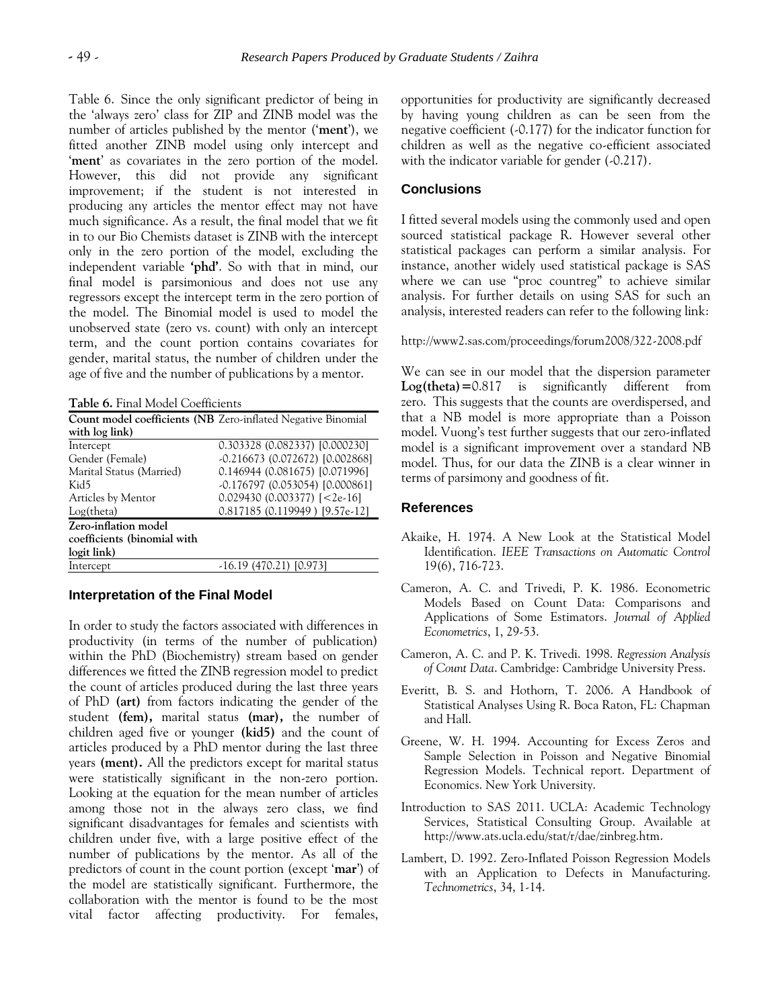Table 6. Since the only significant predictor of being in the "always zero" class for ZIP and ZINB model was the number of articles published by the mentor ("**ment**"), we fitted another ZINB model using only intercept and 'ment' as covariates in the zero portion of the model. However, this did not provide any significant improvement; if the student is not interested in producing any articles the mentor effect may not have much significance. As a result, the final model that we fit in to our Bio Chemists dataset is ZINB with the intercept only in the zero portion of the model, excluding the independent variable **'phd'**. So with that in mind, our final model is parsimonious and does not use any regressors except the intercept term in the zero portion of the model. The Binomial model is used to model the unobserved state (zero vs. count) with only an intercept term, and the count portion contains covariates for gender, marital status, the number of children under the age of five and the number of publications by a mentor.

**Table 6.** Final Model Coefficients

|                             | Count model coefficients (NB Zero-inflated Negative Binomial |
|-----------------------------|--------------------------------------------------------------|
| with log link)              |                                                              |
| Intercept                   | 0.303328 (0.082337) [0.000230]                               |
| Gender (Female)             | -0.216673 (0.072672) [0.002868]                              |
| Marital Status (Married)    | 0.146944 (0.081675) [0.071996]                               |
| Kid5                        | -0.176797 (0.053054) [0.000861]                              |
| Articles by Mentor          | $0.029430(0.003377)$ [<2e-16]                                |
| Log(theta)                  | 0.817185 (0.119949) [9.57e-12]                               |
| Zero-inflation model        |                                                              |
| coefficients (binomial with |                                                              |
| logit link)                 |                                                              |
| Intercept                   | -16.19 (470.21) [0.973]                                      |

## **Interpretation of the Final Model**

In order to study the factors associated with differences in productivity (in terms of the number of publication) within the PhD (Biochemistry) stream based on gender differences we fitted the ZINB regression model to predict the count of articles produced during the last three years of PhD **(art)** from factors indicating the gender of the student **(fem),** marital status **(mar),** the number of children aged five or younger **(kid5)** and the count of articles produced by a PhD mentor during the last three years **(ment).** All the predictors except for marital status were statistically significant in the non-zero portion. Looking at the equation for the mean number of articles among those not in the always zero class, we find significant disadvantages for females and scientists with children under five, with a large positive effect of the number of publications by the mentor. As all of the predictors of count in the count portion (except "**mar**") of the model are statistically significant. Furthermore, the collaboration with the mentor is found to be the most vital factor affecting productivity. For females,

opportunities for productivity are significantly decreased by having young children as can be seen from the negative coefficient (-0.177) for the indicator function for children as well as the negative co-efficient associated with the indicator variable for gender (-0.217).

# **Conclusions**

I fitted several models using the commonly used and open sourced statistical package R. However several other statistical packages can perform a similar analysis. For instance, another widely used statistical package is SAS where we can use "proc countreg" to achieve similar analysis. For further details on using SAS for such an analysis, interested readers can refer to the following link:

#### http://www2.sas.com/proceedings/forum2008/322-2008.pdf

We can see in our model that the dispersion parameter **Log(theta)=**0.817 is significantly different from zero. This suggests that the counts are overdispersed, and that a NB model is more appropriate than a Poisson model. Vuong"s test further suggests that our zero-inflated model is a significant improvement over a standard NB model. Thus, for our data the ZINB is a clear winner in terms of parsimony and goodness of fit.

## **References**

- Akaike, H. 1974. A New Look at the Statistical Model Identification. *IEEE Transactions on Automatic Control*  19(6), 716-723.
- Cameron, A. C. and Trivedi, P. K. 1986. Econometric Models Based on Count Data: Comparisons and Applications of Some Estimators. *Journal of Applied Econometrics*, 1, 29-53.
- Cameron, A. C. and P. K. Trivedi. 1998. *Regression Analysis of Count Data*. Cambridge: Cambridge University Press.
- Everitt, B. S. and Hothorn, T. 2006. A Handbook of Statistical Analyses Using R. Boca Raton, FL: Chapman and Hall.
- Greene, W. H. 1994. Accounting for Excess Zeros and Sample Selection in Poisson and Negative Binomial Regression Models. Technical report. Department of Economics. New York University.
- Introduction to SAS 2011. UCLA: Academic Technology Services, Statistical Consulting Group. Available at http://www.ats.ucla.edu/stat/r/dae/zinbreg.htm.
- Lambert, D. 1992. Zero-Inflated Poisson Regression Models with an Application to Defects in Manufacturing. *Technometrics*, 34, 1-14.